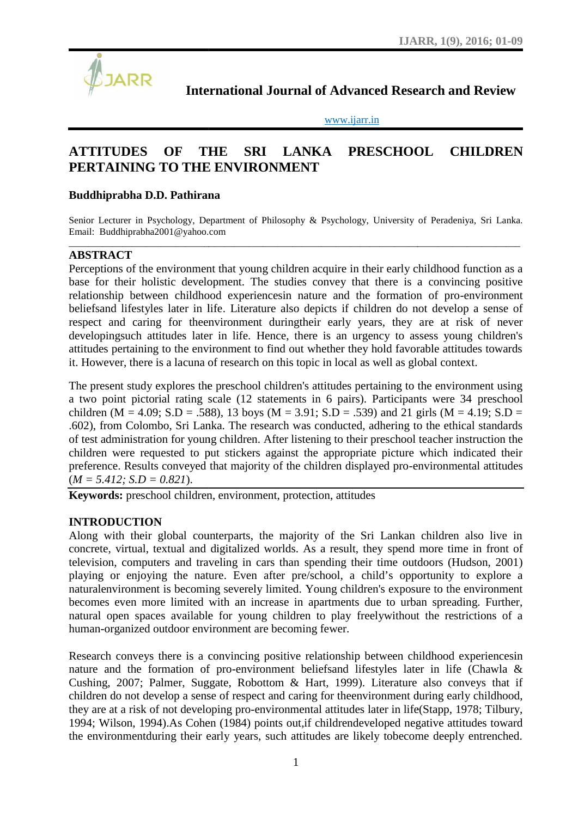

www.ijarr.in

# International Journal of Advanced Research and Review<br>
<u>www.ijarr.in</u><br>
ATTITUDES OF THE SRI LANKA PRESCHOOL CHILDREN **ATTITUDES OF THE SRI LANKA PRESCHOOL CHILDREN PERTAINING TO THE ENVIRONMENT**

# **Buddhiprabha D.D. Pathirana D.D. Pathirana**

Senior Lecturer in Psychology, Department of Philosophy & Psychology, University of Peradeniya, Sri Lanka.<br>Email: Buddhiprabha2001@yahoo.com Email: Buddhiprabha2001@yahoo.com

\_\_\_\_\_\_\_\_\_\_\_\_\_\_\_\_\_\_\_\_\_\_\_\_\_\_\_\_\_\_\_\_\_\_\_\_\_\_\_\_\_\_\_\_\_\_\_\_\_\_\_\_\_\_\_\_\_\_\_\_\_\_\_\_\_\_\_\_\_\_\_\_\_\_\_\_\_\_\_\_\_\_\_\_\_\_\_\_\_\_\_\_\_

# **ABSTRACT**

Perceptions of the environment that young children acquire in their early childhood function as a base for their holistic development. The studies convey that there is a convincing positive relationship between childhood experiencesin nature and the formation of pro-environment beliefsand lifestyles later in life. Literature also depicts if children do not develop a sense of respect and caring for theenvironment duringtheir early years, they are at risk of never developingsuch attitudes later in life. Hence, there is an urgency to assess young children's attitudes pertaining to the environment to find out whether they hold favorable attitudes towards it. However, there is a lacuna of research on this topic in local as well as global context. rceptions of the environment that young children acquire in their early childhood function as a<br>se for their holistic development. The studies convey that there is a convincing positive<br>ationship between childhood experie

The present study explores the preschool children's attitudes pertaining to the environment using a two point pictorial rating scale (12 statements in 6 pairs). Participants were 34 preschool children (M = 4.09; S.D = .588), 13 boys (M = 3.91; S.D = .539) and 21 girls (M = 4.19; S.D = .602), from Colombo, Sri Lanka. The research was conducted, adhering to the ethical standards of test administration for young children. After listening to their preschool teacher instruction the children were requested to put stickers against the appropriate picture which indicated their preference. Results conveyed that majority of the children displayed pro-environmental attitudes  $(M = 5.412; S.D = 0.821).$ of test administration for young children. After listening to their preschool teacher children were requested to put stickers against the appropriate picture which i preference. Results conveyed that majority of the child

**Keywords:** preschool children, environment, protection, attitudes

#### **INTRODUCTION**

Along with their global counterparts, the majority of the Sri Lankan children also live in concrete, virtual, textual and digitalized worlds. As a result, they spend more time in front of television, computers and traveling in cars than spending their time outdoors (Hudson, 2001) playing or enjoying the nature. Even after pre/school, a child's opportunity to explore a naturalenvironment is becoming severely limited. Young children's exposure to the environment naturalenvironment is becoming severely limited. Young children's exposure to the environment<br>becomes even more limited with an increase in apartments due to urban spreading. Further, natural open spaces available for young children to play freelywithout the restrictions of a a human-organized outdoor environment are becoming fewer. Along with their global counterparts, the majority of the Sri Lankan children also live in concrete, virtual, textual and digitalized worlds. As a result, they spend more time in front of television, computers and travelin in Psychology, Deparment of Philosophy & Psychology, University<br>
in Psychology, Deparment of Philosophy & Psychology, University<br>
rholbsic development. The studies convey that there is to<br>
relative there is a cherence of

human-organized outdoor environment are becoming fewer.<br>Research conveys there is a convincing positive relationship between childhood experiencesin nature and the formation of pro-environment beliefsand lifestyles later in life (Chawla  $\&$ Cushing, 2007; Palmer, Suggate, Robottom & Hart, 1999). Literature also conveys that if Cushing, 2007; Palmer, Suggate, Robottom & Hart, 1999). Literature also conveys that if children do not develop a sense of respect and caring for theenvironment during early childhood, they are at a risk of not developing pro-environmental attitudes later in life(Stapp, 1978; Tilbury, 1994; Wilson, 1994). As Cohen (1984) points out, if childrendeveloped negative attitudes toward the environmentduring their early years, such attitudes are likely tobecome deeply entrenched.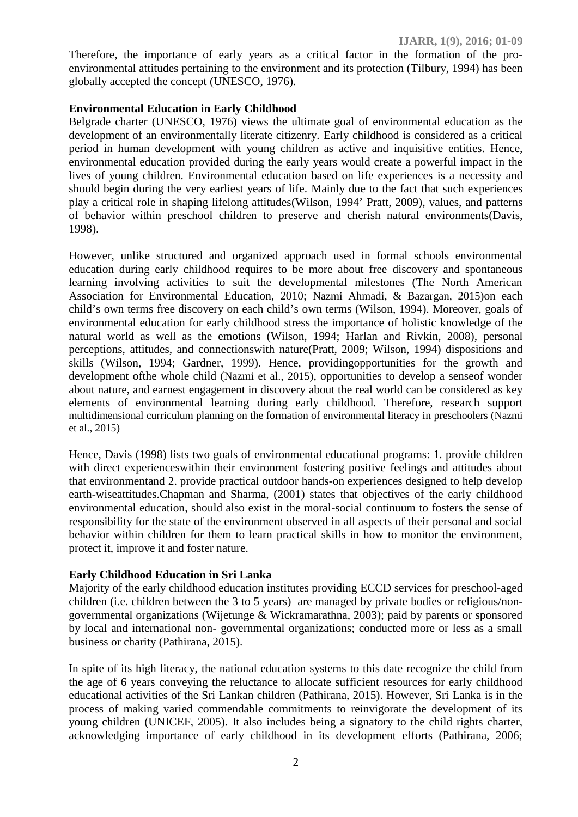Therefore, the importance of early years as a critical factor in the formation of the pro environmental attitudes pertaining to the environment and its protection (Tilbury, 1994) has been globally accepted the concept (UNESCO, 1976).

## **Environmental Education in Early Childhood**

Belgrade charter (UNESCO, 1976) views the ultimate goal of environmental education as the development of an environmentally literate citizenry. Early childhood is considered as a critical period in human development with young children as active and inquisitive entities. Hence, environmental education provided during the early years would create a powerful impact in the lives of young children. Environmental education based on life experiences is a necessity and should begin during the very earliest years of life. Mainly due to the fact that such experiences play a critical role in shaping lifelong attitudes(Wilson, 1994' Pratt, 2009), values, and patterns of behavior within preschool children to preserve and cherish natural environments(Davis, 1998).

However, unlike structured and organized approach used in formal schools environmental education during early childhood requires to be more about free discovery and spontaneous learning involving activities to suit the developmental milestones (The North American Association for Environmental Education, 2010; Nazmi Ahmadi, & Bazargan, 2015)on each child's own terms free discovery on each child's own terms (Wilson, 1994). Moreover, goals of environmental education for early childhood stress the importance of holistic knowledge of the natural world as well as the emotions (Wilson, 1994; Harlan and Rivkin, 2008), personal perceptions, attitudes, and connectionswith nature(Pratt, 2009; Wilson, 1994) dispositions and skills (Wilson, 1994; Gardner, 1999). Hence, providingopportunities for the growth and development ofthe whole child (Nazmi et al., 2015), opportunities to develop a senseof wonder about nature, and earnest engagement in discovery about the real world can be considered as key elements of environmental learning during early childhood. Therefore, research support multidimensional curriculum planning on the formation of environmental literacy in preschoolers (Nazmi et al., 2015)

Hence, Davis (1998) lists two goals of environmental educational programs: 1. provide children with direct experienceswithin their environment fostering positive feelings and attitudes about that environmentand 2. provide practical outdoor hands-on experiences designed to help develop earth-wiseattitudes.Chapman and Sharma, (2001) states that objectives of the early childhood environmental education, should also exist in the moral-social continuum to fosters the sense of responsibility for the state of the environment observed in all aspects of their personal and social behavior within children for them to learn practical skills in how to monitor the environment, protect it, improve it and foster nature.

#### **Early Childhood Education in Sri Lanka**

Majority of the early childhood education institutes providing ECCD services for preschool-aged children (i.e. children between the 3 to 5 years) are managed by private bodies or religious/non governmental organizations (Wijetunge & Wickramarathna, 2003); paid by parents or sponsored by local and international non- governmental organizations; conducted more or less as a small business or charity (Pathirana, 2015).

In spite of its high literacy, the national education systems to this date recognize the child from the age of 6 years conveying the reluctance to allocate sufficient resources for early childhood educational activities of the Sri Lankan children (Pathirana, 2015). However, Sri Lanka is in the process of making varied commendable commitments to reinvigorate the development of its young children (UNICEF, 2005). It also includes being a signatory to the child rights charter, acknowledging importance of early childhood in its development efforts (Pathirana, 2006;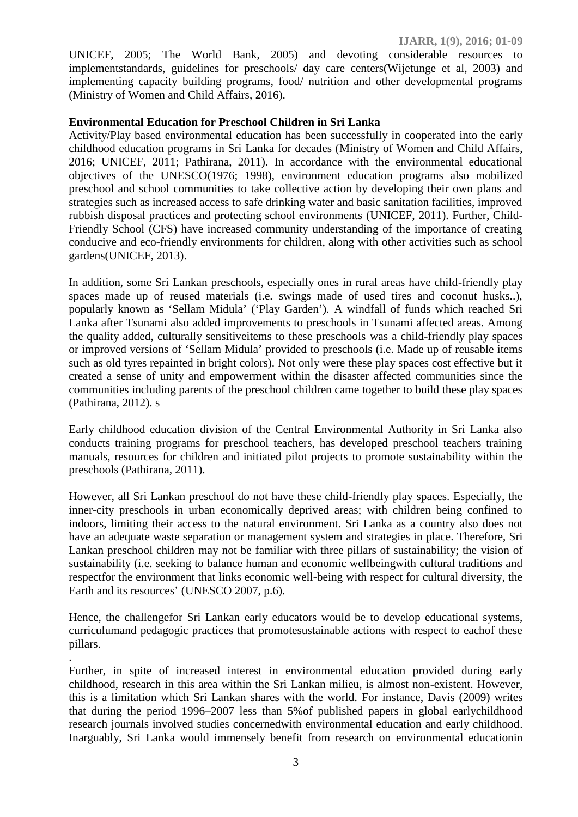UNICEF, 2005; The World Bank, 2005) and devoting considerable resources to implementstandards, guidelines for preschools/ day care centers(Wijetunge et al, 2003) and implementing capacity building programs, food/ nutrition and other developmental programs (Ministry of Women and Child Affairs, 2016).

## **Environmental Education for Preschool Children in Sri Lanka**

Activity/Play based environmental education has been successfully in cooperated into the early childhood education programs in Sri Lanka for decades (Ministry of Women and Child Affairs, 2016; UNICEF, 2011; Pathirana, 2011). In accordance with the environmental educational objectives of the UNESCO(1976; 1998), environment education programs also mobilized preschool and school communities to take collective action by developing their own plans and strategies such as increased access to safe drinking water and basic sanitation facilities, improved rubbish disposal practices and protecting school environments (UNICEF, 2011). Further, Child- Friendly School (CFS) have increased community understanding of the importance of creating conducive and eco-friendly environments for children, along with other activities such as school gardens(UNICEF, 2013).

In addition, some Sri Lankan preschools, especially ones in rural areas have child-friendly play spaces made up of reused materials (i.e. swings made of used tires and coconut husks..), popularly known as 'Sellam Midula' ('Play Garden'). A windfall of funds which reached Sri Lanka after Tsunami also added improvements to preschools in Tsunami affected areas. Among the quality added, culturally sensitiveitems to these preschools was a child-friendly play spaces or improved versions of 'Sellam Midula' provided to preschools (i.e. Made up of reusable items such as old tyres repainted in bright colors). Not only were these play spaces cost effective but it created a sense of unity and empowerment within the disaster affected communities since the communities including parents of the preschool children came together to build these play spaces (Pathirana, 2012). s

Early childhood education division of the Central Environmental Authority in Sri Lanka also conducts training programs for preschool teachers, has developed preschool teachers training manuals, resources for children and initiated pilot projects to promote sustainability within the preschools (Pathirana, 2011).

However, all Sri Lankan preschool do not have these child-friendly play spaces. Especially, the inner-city preschools in urban economically deprived areas; with children being confined to indoors, limiting their access to the natural environment. Sri Lanka as a country also does not have an adequate waste separation or management system and strategies in place. Therefore, Sri Lankan preschool children may not be familiar with three pillars of sustainability; the vision of sustainability (i.e. seeking to balance human and economic wellbeingwith cultural traditions and respectfor the environment that links economic well-being with respect for cultural diversity, the Earth and its resources' (UNESCO 2007, p.6).

Hence, the challengefor Sri Lankan early educators would be to develop educational systems, curriculumand pedagogic practices that promotesustainable actions with respect to eachof these pillars.

.Further, in spite of increased interest in environmental education provided during early childhood, research in this area within the Sri Lankan milieu, is almost non-existent. However, this is a limitation which Sri Lankan shares with the world. For instance, Davis (2009) writes that during the period 1996–2007 less than 5%of published papers in global earlychildhood research journals involved studies concernedwith environmental education and early childhood. Inarguably, Sri Lanka would immensely benefit from research on environmental educationin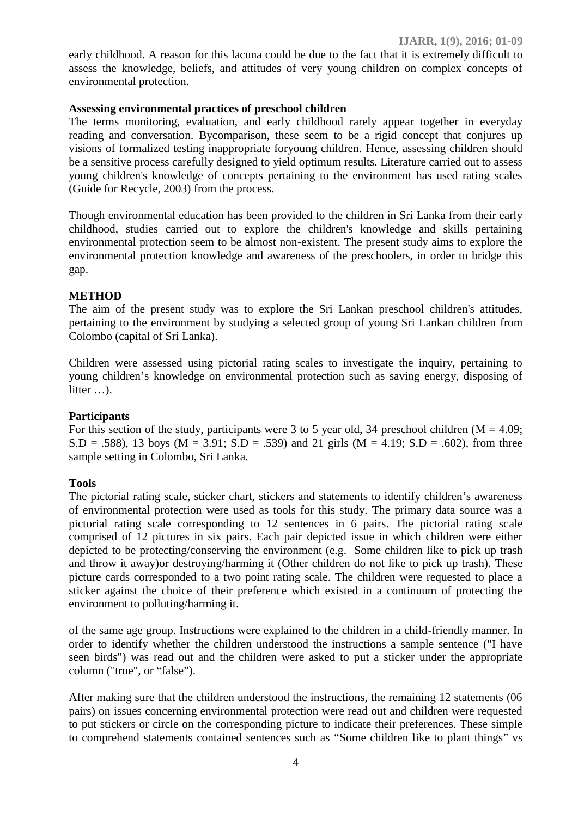early childhood. A reason for this lacuna could be due to the fact that it is extremely difficult to assess the knowledge, beliefs, and attitudes of very young children on complex concepts of environmental protection.

# **Assessing environmental practices of preschool children**

The terms monitoring, evaluation, and early childhood rarely appear together in everyday reading and conversation. Bycomparison, these seem to be a rigid concept that conjures up visions of formalized testing inappropriate foryoung children. Hence, assessing children should be a sensitive process carefully designed to yield optimum results. Literature carried out to assess young children's knowledge of concepts pertaining to the environment has used rating scales (Guide for Recycle, 2003) from the process.

Though environmental education has been provided to the children in Sri Lanka from their early childhood, studies carried out to explore the children's knowledge and skills pertaining environmental protection seem to be almost non-existent. The present study aims to explore the environmental protection knowledge and awareness of the preschoolers, in order to bridge this gap.

# **METHOD**

The aim of the present study was to explore the Sri Lankan preschool children's attitudes, pertaining to the environment by studying a selected group of young Sri Lankan children from Colombo (capital of Sri Lanka).

Children were assessed using pictorial rating scales to investigate the inquiry, pertaining to young children's knowledge on environmental protection such as saving energy, disposing of litter …).

#### **Participants**

For this section of the study, participants were 3 to 5 year old, 34 preschool children  $(M = 4.09$ ;  $S.D = .588$ , 13 boys (M = 3.91;  $S.D = .539$ ) and 21 girls (M = 4.19;  $S.D = .602$ ), from three sample setting in Colombo, Sri Lanka.

#### **Tools**

The pictorial rating scale, sticker chart, stickers and statements to identify children's awareness of environmental protection were used as tools for this study. The primary data source was a pictorial rating scale corresponding to 12 sentences in 6 pairs. The pictorial rating scale comprised of 12 pictures in six pairs. Each pair depicted issue in which children were either depicted to be protecting/conserving the environment (e.g. Some children like to pick up trash and throw it away)or destroying/harming it (Other children do not like to pick up trash). These picture cards corresponded to a two point rating scale. The children were requested to place a sticker against the choice of their preference which existed in a continuum of protecting the environment to polluting/harming it.

of the same age group. Instructions were explained to the children in a child-friendly manner. In order to identify whether the children understood the instructions a sample sentence ("I have seen birds") was read out and the children were asked to put a sticker under the appropriate column ("true", or "false").

After making sure that the children understood the instructions, the remaining 12 statements (06 pairs) on issues concerning environmental protection were read out and children were requested to put stickers or circle on the corresponding picture to indicate their preferences. These simple to comprehend statements contained sentences such as "Some children like to plant things" vs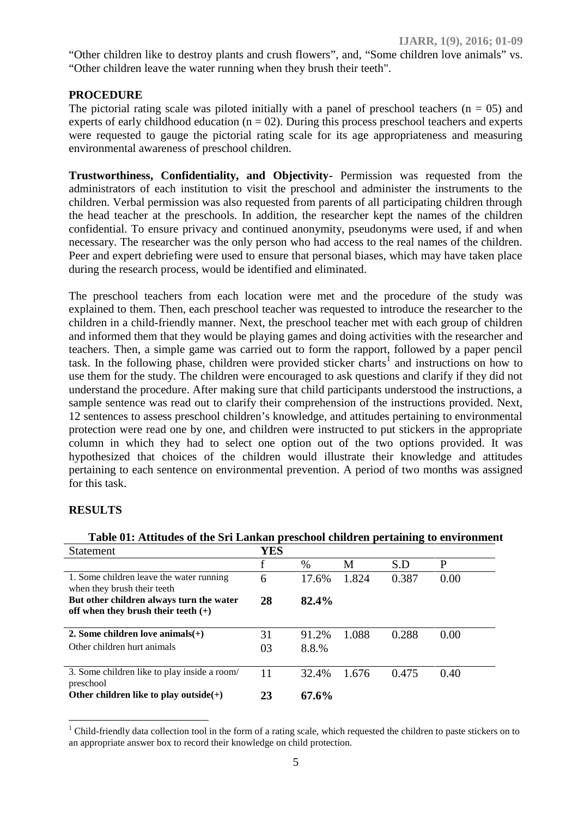"Other children like to destroy plants and crush flowers", and, "Some children love animals" vs. "Other children leave the water running when they brush their teeth".

# **PROCEDURE**

The pictorial rating scale was piloted initially with a panel of preschool teachers ( $n = 05$ ) and experts of early childhood education ( $n = 02$ ). During this process preschool teachers and experts were requested to gauge the pictorial rating scale for its age appropriateness and measuring environmental awareness of preschool children.

**Trustworthiness, Confidentiality, and Objectivity-** Permission was requested from the administrators of each institution to visit the preschool and administer the instruments to the children. Verbal permission was also requested from parents of all participating children through the head teacher at the preschools. In addition, the researcher kept the names of the children confidential. To ensure privacy and continued anonymity, pseudonyms were used, if and when necessary. The researcher was the only person who had access to the real names of the children. Peer and expert debriefing were used to ensure that personal biases, which may have taken place during the research process, would be identified and eliminated.

The preschool teachers from each location were met and the procedure of the study was explained to them. Then, each preschool teacher was requested to introduce the researcher to the children in a child-friendly manner. Next, the preschool teacher met with each group of children and informed them that they would be playing games and doing activities with the researcher and teachers. Then, a simple game was carried out to form the rapport, followed by a paper pencil task. In the following phase, children were provided sticker charts<sup>1</sup> and instructions on how to use them for the study. The children were encouraged to ask questions and clarify if they did not understand the procedure. After making sure that child participants understood the instructions, a sample sentence was read out to clarify their comprehension of the instructions provided. Next, 12 sentences to assess preschool children's knowledge, and attitudes pertaining to environmental protection were read one by one, and children were instructed to put stickers in the appropriate column in which they had to select one option out of the two options provided. It was hypothesized that choices of the children would illustrate their knowledge and attitudes pertaining to each sentence on environmental prevention. A period of two months was assigned for this task.

#### **RESULTS**

| Table 01: Attitudes of the Sri Lankan preschool children pertaining to environment |     |       |       |       |      |
|------------------------------------------------------------------------------------|-----|-------|-------|-------|------|
| <b>Statement</b>                                                                   | YES |       |       |       |      |
|                                                                                    | f   | $\%$  | М     | S.D   | P    |
| 1. Some children leave the water running<br>when they brush their teeth            | 6   | 17.6% | 1.824 | 0.387 | 0.00 |
| But other children always turn the water<br>off when they brush their teeth $(+)$  | 28  | 82.4% |       |       |      |
| 2. Some children love animals $(+)$                                                | 31  | 91.2% | 1.088 | 0.288 | 0.00 |
| Other children hurt animals                                                        | 03  | 8.8.% |       |       |      |
| 3. Some children like to play inside a room/<br>preschool                          | 11  | 32.4% | 1.676 | 0.475 | 0.40 |
| Other children like to play outside(+)                                             | 23  | 67.6% |       |       |      |

**Table 01: Attitudes of the Sri Lankan preschool children pertaining to environment**

 $1$  Child-friendly data collection tool in the form of a rating scale, which requested the children to paste stickers on to an appropriate answer box to record their knowledge on child protection.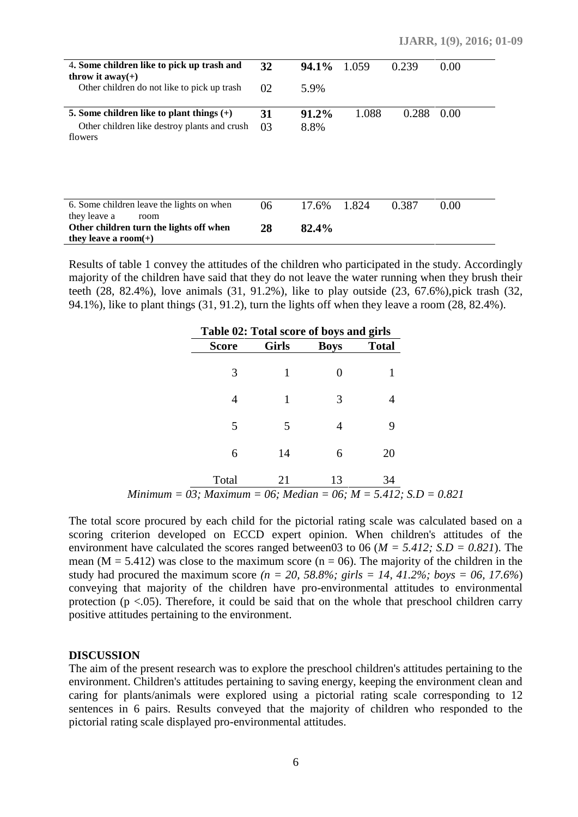| 4. Some children like to pick up trash and<br>throw it $away(+)$<br>Other children do not like to pick up trash                         | 32<br>02 | 94.1%<br>5.9%    | 1.059 | 0.239 | 0.00 |
|-----------------------------------------------------------------------------------------------------------------------------------------|----------|------------------|-------|-------|------|
| 5. Some children like to plant things $(+)$<br>Other children like destroy plants and crush<br>flowers                                  | 31<br>03 | $91.2\%$<br>8.8% | 1.088 | 0.288 | 0.00 |
| 6. Some children leave the lights on when<br>they leave a<br>room<br>Other children turn the lights off when<br>they leave a room $(+)$ | 06<br>28 | 17.6%<br>82.4%   | 1.824 | 0.387 | 0.00 |

Results of table 1 convey the attitudes of the children who participated in the study. Accordingly majority of the children have said that they do not leave the water running when they brush their teeth (28, 82.4%), love animals (31, 91.2%), like to play outside (23, 67.6%),pick trash (32, 94.1%), like to plant things (31, 91.2), turn the lights off when they leave a room (28, 82.4%).

|              | Table 02: Total score of boys and girls |             |              |  |  |  |  |
|--------------|-----------------------------------------|-------------|--------------|--|--|--|--|
| <b>Score</b> | <b>Girls</b>                            | <b>Boys</b> | <b>Total</b> |  |  |  |  |
| 3            |                                         |             |              |  |  |  |  |
| 4            |                                         | 3           |              |  |  |  |  |
| 5            | 5                                       |             | 9            |  |  |  |  |
| 6            | 14                                      | 6           | 20           |  |  |  |  |
| Total        | 21                                      | 13          | 34           |  |  |  |  |

*Minimum = 03; Maximum = 06; Median = 06; M = 5.412; S.D = 0.821*

The total score procured by each child for the pictorial rating scale was calculated based on a scoring criterion developed on ECCD expert opinion. When children's attitudes of the environment have calculated the scores ranged between03 to 06 (*M = 5.412; S.D = 0.821*). The mean ( $M = 5.412$ ) was close to the maximum score ( $n = 06$ ). The majority of the children in the study had procured the maximum score  $(n = 20, 58.8\%; girls = 14, 41.2\%; boys = 06, 17.6\%)$ conveying that majority of the children have pro-environmental attitudes to environmental protection ( $p < .05$ ). Therefore, it could be said that on the whole that preschool children carry positive attitudes pertaining to the environment.

#### **DISCUSSION**

The aim of the present research was to explore the preschool children's attitudes pertaining to the environment. Children's attitudes pertaining to saving energy, keeping the environment clean and caring for plants/animals were explored using a pictorial rating scale corresponding to 12 sentences in 6 pairs. Results conveyed that the majority of children who responded to the pictorial rating scale displayed pro-environmental attitudes.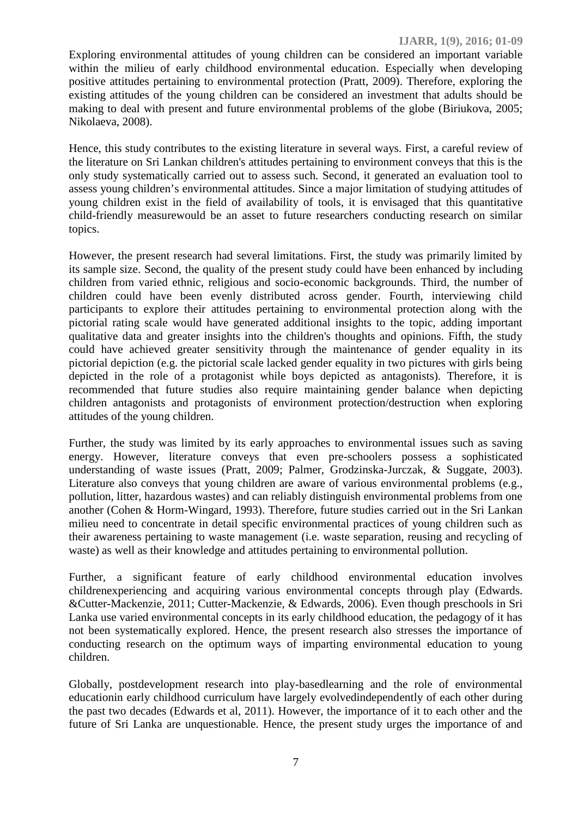Exploring environmental attitudes of young children can be considered an important variable within the milieu of early childhood environmental education. Especially when developing positive attitudes pertaining to environmental protection (Pratt, 2009). Therefore, exploring the existing attitudes of the young children can be considered an investment that adults should be making to deal with present and future environmental problems of the globe (Biriukova, 2005; Nikolaeva, 2008).

Hence, this study contributes to the existing literature in several ways. First, a careful review of the literature on Sri Lankan children's attitudes pertaining to environment conveys that this is the only study systematically carried out to assess such. Second, it generated an evaluation tool to assess young children's environmental attitudes. Since a major limitation of studying attitudes of young children exist in the field of availability of tools, it is envisaged that this quantitative child-friendly measurewould be an asset to future researchers conducting research on similar topics.

However, the present research had several limitations. First, the study was primarily limited by its sample size. Second, the quality of the present study could have been enhanced by including children from varied ethnic, religious and socio-economic backgrounds. Third, the number of children could have been evenly distributed across gender. Fourth, interviewing child participants to explore their attitudes pertaining to environmental protection along with the pictorial rating scale would have generated additional insights to the topic, adding important qualitative data and greater insights into the children's thoughts and opinions. Fifth, the study could have achieved greater sensitivity through the maintenance of gender equality in its pictorial depiction (e.g. the pictorial scale lacked gender equality in two pictures with girls being depicted in the role of a protagonist while boys depicted as antagonists). Therefore, it is recommended that future studies also require maintaining gender balance when depicting children antagonists and protagonists of environment protection/destruction when exploring attitudes of the young children.

Further, the study was limited by its early approaches to environmental issues such as saving energy. However, literature conveys that even pre-schoolers possess a sophisticated understanding of waste issues (Pratt, 2009; Palmer, Grodzinska-Jurczak, & Suggate, 2003). Literature also conveys that young children are aware of various environmental problems (e.g., pollution, litter, hazardous wastes) and can reliably distinguish environmental problems from one another (Cohen & Horm-Wingard, 1993). Therefore, future studies carried out in the Sri Lankan milieu need to concentrate in detail specific environmental practices of young children such as their awareness pertaining to waste management (i.e. waste separation, reusing and recycling of waste) as well as their knowledge and attitudes pertaining to environmental pollution.

Further, a significant feature of early childhood environmental education involves childrenexperiencing and acquiring various environmental concepts through play (Edwards. &Cutter-Mackenzie, 2011; Cutter-Mackenzie, & Edwards, 2006). Even though preschools in Sri Lanka use varied environmental concepts in its early childhood education, the pedagogy of it has not been systematically explored. Hence, the present research also stresses the importance of conducting research on the optimum ways of imparting environmental education to young children.

Globally, postdevelopment research into play-basedlearning and the role of environmental educationin early childhood curriculum have largely evolvedindependently of each other during the past two decades (Edwards et al, 2011). However, the importance of it to each other and the future of Sri Lanka are unquestionable. Hence, the present study urges the importance of and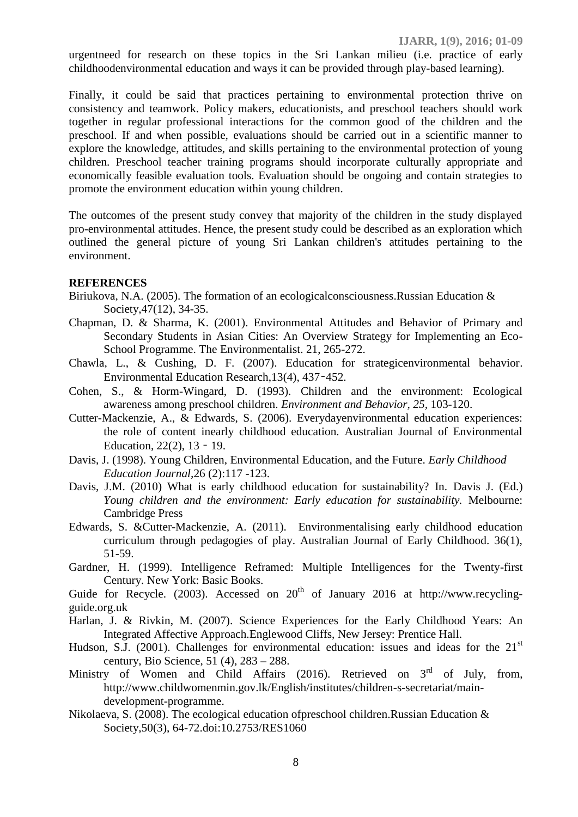urgentneed for research on these topics in the Sri Lankan milieu (i.e. practice of early childhoodenvironmental education and ways it can be provided through play-based learning).

**IJARR, 1(9), 2016; 01-09**

Finally, it could be said that practices pertaining to environmental protection thrive on consistency and teamwork. Policy makers, educationists, and preschool teachers should work together in regular professional interactions for the common good of the children and the preschool. If and when possible, evaluations should be carried out in a scientific manner to explore the knowledge, attitudes, and skills pertaining to the environmental protection of young children. Preschool teacher training programs should incorporate culturally appropriate and economically feasible evaluation tools. Evaluation should be ongoing and contain strategies to promote the environment education within young children.

The outcomes of the present study convey that majority of the children in the study displayed pro-environmental attitudes. Hence, the present study could be described as an exploration which outlined the general picture of young Sri Lankan children's attitudes pertaining to the environment.

#### **REFERENCES**

- Biriukova, N.A. (2005). The formation of an ecologicalconsciousness.Russian Education & Society,47(12), 34-35.
- Chapman, D. & Sharma, K. (2001). Environmental Attitudes and Behavior of Primary and Secondary Students in Asian Cities: An Overview Strategy for Implementing an Eco- School Programme. The Environmentalist. 21, 265-272.
- Chawla, L., & Cushing, D. F. (2007). Education for strategicenvironmental behavior. Environmental Education Research,13(4), 437–452.
- Cohen, S., & Horm-Wingard, D. (1993). Children and the environment: Ecological awareness among preschool children. *Environment and Behavior, 25,* 103-120.
- Cutter-Mackenzie, A., & Edwards, S. (2006). Everydayenvironmental education experiences: the role of content inearly childhood education. Australian Journal of Environmental Education, 22(2), 13 – 19.
- Davis, J. (1998). Young Children, Environmental Education, and the Future. *Early Childhood Education Journal,*26 (2):117 -123.
- Davis, J.M. (2010) What is early childhood education for sustainability? In. Davis J. (Ed.) *Young children and the environment: Early education for sustainability.* Melbourne: Cambridge Press
- Edwards, S. &Cutter-Mackenzie, A. (2011). Environmentalising early childhood education curriculum through pedagogies of play. Australian Journal of Early Childhood. 36(1), 51-59.
- Gardner, H. (1999). Intelligence Reframed: Multiple Intelligences for the Twenty-first Century. New York: Basic Books.
- Guide for Recycle. (2003). Accessed on  $20<sup>th</sup>$  of January 2016 at http://www.recyclingguide.org.uk
- Harlan, J. & Rivkin, M. (2007). Science Experiences for the Early Childhood Years: An Integrated Affective Approach.Englewood Cliffs, New Jersey: Prentice Hall.
- Hudson, S.J. (2001). Challenges for environmental education: issues and ideas for the  $21<sup>st</sup>$ century, Bio Science, 51 (4), 283 – 288.
- Ministry of Women and Child Affairs (2016). Retrieved on  $3<sup>rd</sup>$  of July, from, http://www.childwomenmin.gov.lk/English/institutes/children-s-secretariat/main development-programme.
- Nikolaeva, S. (2008). The ecological education ofpreschool children.Russian Education & Society,50(3), 64-72.doi:10.2753/RES1060